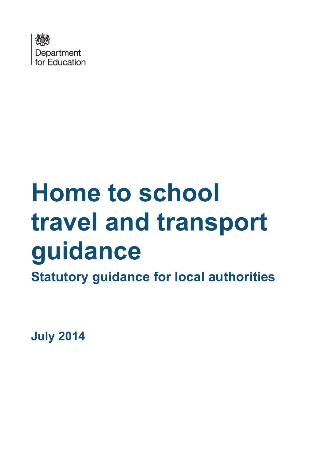

# **Home to school travel and transport guidance**

**Statutory guidance for local authorities**

<span id="page-0-0"></span>**July 2014**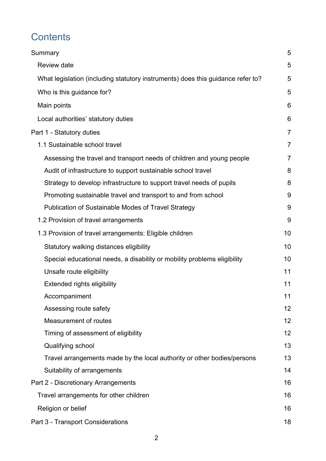# **Contents**

| Summary                                                                         | 5  |
|---------------------------------------------------------------------------------|----|
| Review date                                                                     | 5  |
| What legislation (including statutory instruments) does this guidance refer to? | 5  |
| Who is this guidance for?                                                       | 5  |
| Main points                                                                     | 6  |
| Local authorities' statutory duties                                             | 6  |
| Part 1 - Statutory duties                                                       | 7  |
| 1.1 Sustainable school travel                                                   | 7  |
| Assessing the travel and transport needs of children and young people           | 7  |
| Audit of infrastructure to support sustainable school travel                    | 8  |
| Strategy to develop infrastructure to support travel needs of pupils            | 8  |
| Promoting sustainable travel and transport to and from school                   | 9  |
| Publication of Sustainable Modes of Travel Strategy                             | 9  |
| 1.2 Provision of travel arrangements                                            | 9  |
| 1.3 Provision of travel arrangements: Eligible children                         | 10 |
| Statutory walking distances eligibility                                         | 10 |
| Special educational needs, a disability or mobility problems eligibility        | 10 |
| Unsafe route eligibility                                                        | 11 |
| <b>Extended rights eligibility</b>                                              | 11 |
| Accompaniment                                                                   | 11 |
| Assessing route safety                                                          | 12 |
| Measurement of routes                                                           | 12 |
| Timing of assessment of eligibility                                             | 12 |
| Qualifying school                                                               | 13 |
| Travel arrangements made by the local authority or other bodies/persons         | 13 |
| Suitability of arrangements                                                     | 14 |
| Part 2 - Discretionary Arrangements                                             | 16 |
| Travel arrangements for other children                                          | 16 |
| Religion or belief                                                              | 16 |
| Part 3 - Transport Considerations                                               | 18 |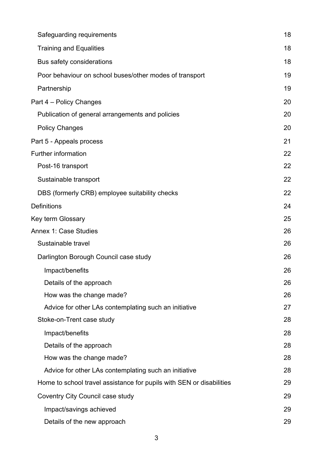| Safeguarding requirements                                            | 18 |
|----------------------------------------------------------------------|----|
| <b>Training and Equalities</b>                                       | 18 |
| Bus safety considerations                                            | 18 |
| Poor behaviour on school buses/other modes of transport              | 19 |
| Partnership                                                          | 19 |
| Part 4 – Policy Changes                                              | 20 |
| Publication of general arrangements and policies                     | 20 |
| <b>Policy Changes</b>                                                | 20 |
| Part 5 - Appeals process                                             | 21 |
| Further information                                                  | 22 |
| Post-16 transport                                                    | 22 |
| Sustainable transport                                                | 22 |
| DBS (formerly CRB) employee suitability checks                       | 22 |
| <b>Definitions</b>                                                   | 24 |
| Key term Glossary                                                    | 25 |
| <b>Annex 1: Case Studies</b>                                         | 26 |
| Sustainable travel                                                   | 26 |
| Darlington Borough Council case study                                | 26 |
| Impact/benefits                                                      | 26 |
| Details of the approach                                              | 26 |
| How was the change made?                                             | 26 |
| Advice for other LAs contemplating such an initiative                | 27 |
| Stoke-on-Trent case study                                            | 28 |
| Impact/benefits                                                      | 28 |
| Details of the approach                                              | 28 |
| How was the change made?                                             | 28 |
| Advice for other LAs contemplating such an initiative                | 28 |
| Home to school travel assistance for pupils with SEN or disabilities | 29 |
| Coventry City Council case study                                     | 29 |
| Impact/savings achieved                                              | 29 |
| Details of the new approach                                          | 29 |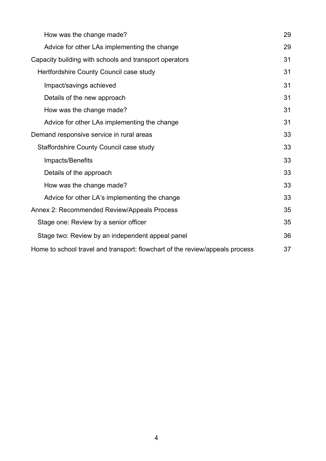<span id="page-3-0"></span>

| How was the change made?                                                     | 29 |
|------------------------------------------------------------------------------|----|
| Advice for other LAs implementing the change                                 | 29 |
| Capacity building with schools and transport operators                       | 31 |
| Hertfordshire County Council case study                                      | 31 |
| Impact/savings achieved                                                      | 31 |
| Details of the new approach                                                  | 31 |
| How was the change made?                                                     | 31 |
| Advice for other LAs implementing the change                                 | 31 |
| Demand responsive service in rural areas                                     | 33 |
| Staffordshire County Council case study                                      | 33 |
| Impacts/Benefits                                                             | 33 |
| Details of the approach                                                      | 33 |
| How was the change made?                                                     | 33 |
| Advice for other LA's implementing the change                                | 33 |
| Annex 2: Recommended Review/Appeals Process                                  | 35 |
| Stage one: Review by a senior officer                                        | 35 |
| Stage two: Review by an independent appeal panel                             | 36 |
| Home to school travel and transport: flowchart of the review/appeals process | 37 |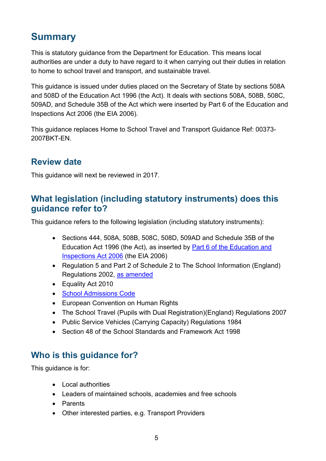# **Summary**

This is statutory guidance from the Department for Education. This means local authorities are under a duty to have regard to it when carrying out their duties in relation to home to school travel and transport, and sustainable travel.

This guidance is issued under duties placed on the Secretary of State by sections 508A and 508D of the Education Act 1996 (the Act). It deals with sections 508A, 508B, 508C, 509AD, and Schedule 35B of the Act which were inserted by Part 6 of the Education and Inspections Act 2006 (the EIA 2006).

This guidance replaces Home to School Travel and Transport Guidance Ref: 00373- 2007BKT-EN.

# <span id="page-4-0"></span>**Review date**

This guidance will next be reviewed in 2017.

# <span id="page-4-1"></span>**What legislation (including statutory instruments) does this guidance refer to?**

This guidance refers to the following legislation (including statutory instruments):

- Sections 444, 508A, 508B, 508C, 508D, 509AD and Schedule 35B of the Education Act 1996 (the Act), as inserted by [Part 6 of the Education and](http://www.legislation.gov.uk/ukpga/2006/40/part/6)  [Inspections Act 2006](http://www.legislation.gov.uk/ukpga/2006/40/part/6) (the EIA 2006)
- Regulation 5 and Part 2 of Schedule 2 to The School Information (England) Regulations 2002, [as amended](http://www.legislation.gov.uk/uksi/2007/1365/regulation/5/made)
- Equality Act 2010
- [School Admissions Code](https://www.gov.uk/government/publications/school-admissions-code)
- European Convention on Human Rights
- [The School Travel \(Pupils with Dual Registration\)\(England\) Regulations 2007](http://www.legislation.gov.uk/uksi/2007/1367/regulation/2/made)
- [Public Service Vehicles \(Carrying Capacity\) Regulations 1984](http://www.legislation.gov.uk/uksi/1996/167/made)
- Section 48 of the School Standards and Framework Act 1998

# <span id="page-4-2"></span>**Who is this guidance for?**

This guidance is for:

- Local authorities
- Leaders of maintained schools, academies and free schools
- Parents
- Other interested parties, e.g. Transport Providers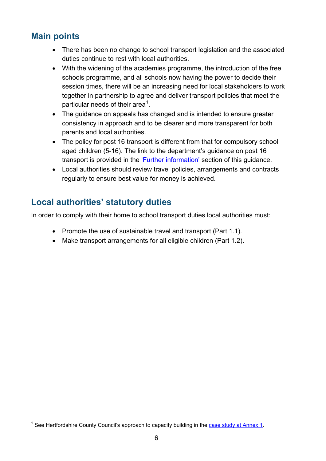# <span id="page-5-0"></span>**Main points**

 $\overline{a}$ 

- There has been no change to school transport legislation and the associated duties continue to rest with local authorities.
- With the widening of the academies programme, the introduction of the free schools programme, and all schools now having the power to decide their session times, there will be an increasing need for local stakeholders to work together in partnership to agree and deliver transport policies that meet the particular needs of their area<sup>[1](#page-0-0)</sup>.
- The guidance on appeals has changed and is intended to ensure greater consistency in approach and to be clearer and more transparent for both parents and local authorities.
- The policy for post 16 transport is different from that for compulsory school aged children (5-16). The link to the department's guidance on post 16 transport is provided in the ['Further information'](#page-21-1) section of this guidance.
- Local authorities should review travel policies, arrangements and contracts regularly to ensure best value for money is achieved.

# <span id="page-5-1"></span>**Local authorities' statutory duties**

In order to comply with their home to school transport duties local authorities must:

- Promote the use of sustainable travel and transport (Part 1.1).
- Make transport arrangements for all eligible children (Part 1.2).

<span id="page-5-2"></span><sup>&</sup>lt;sup>1</sup> See Hertfordshire County Council's approach to capacity building in the case study at Annex 1.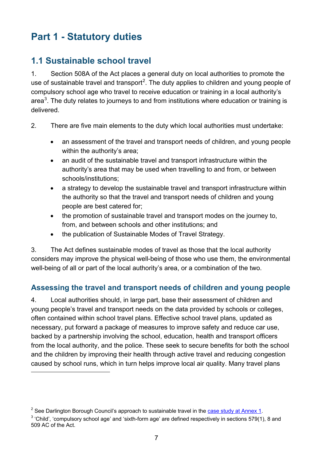# <span id="page-6-0"></span>**Part 1 - Statutory duties**

# <span id="page-6-1"></span>**1.1 Sustainable school travel**

1. Section 508A of the Act places a general duty on local authorities to promote the use of sustainable travel and transport<sup>[2](#page-5-2)</sup>. The duty applies to children and young people of compulsory school age who travel to receive education or training in a local authority's area<sup>[3](#page-6-3)</sup>. The duty relates to journeys to and from institutions where education or training is delivered.

- 2. There are five main elements to the duty which local authorities must undertake:
	- an assessment of the travel and transport needs of children, and young people within the authority's area;
	- an audit of the sustainable travel and transport infrastructure within the authority's area that may be used when travelling to and from, or between schools/institutions;
	- a strategy to develop the sustainable travel and transport infrastructure within the authority so that the travel and transport needs of children and young people are best catered for;
	- the promotion of sustainable travel and transport modes on the journey to, from, and between schools and other institutions; and
	- the publication of Sustainable Modes of Travel Strategy.

3. The Act defines sustainable modes of travel as those that the local authority considers may improve the physical well-being of those who use them, the environmental well-being of all or part of the local authority's area, or a combination of the two.

### <span id="page-6-2"></span>**Assessing the travel and transport needs of children and young people**

4. Local authorities should, in large part, base their assessment of children and young people's travel and transport needs on the data provided by schools or colleges, often contained within school travel plans. Effective school travel plans, updated as necessary, put forward a package of measures to improve safety and reduce car use, backed by a partnership involving the school, education, health and transport officers from the local authority, and the police. These seek to secure benefits for both the school and the children by improving their health through active travel and reducing congestion caused by school runs, which in turn helps improve local air quality. Many travel plans  $\overline{a}$ 

 $2^2$  See Darlington Borough Council's approach to sustainable travel in the case study at Annex 1.

<span id="page-6-4"></span><span id="page-6-3"></span><sup>&</sup>lt;sup>3</sup> 'Child', 'compulsory school age' and 'sixth-form age' are defined respectively in sections 579(1), 8 and 509 AC of the Act.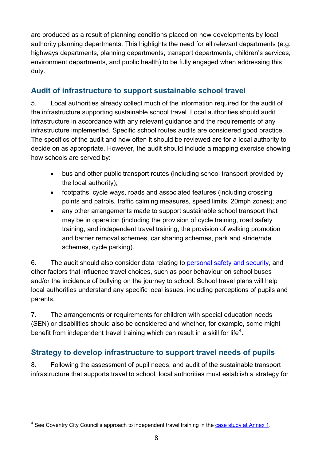are produced as a result of planning conditions placed on new developments by local authority planning departments. This highlights the need for all relevant departments (e.g. highways departments, planning departments, transport departments, children's services, environment departments, and public health) to be fully engaged when addressing this duty.

### <span id="page-7-0"></span>**Audit of infrastructure to support sustainable school travel**

5. Local authorities already collect much of the information required for the audit of the infrastructure supporting sustainable school travel. Local authorities should audit infrastructure in accordance with any relevant guidance and the requirements of any infrastructure implemented. Specific school routes audits are considered good practice. The specifics of the audit and how often it should be reviewed are for a local authority to decide on as appropriate. However, the audit should include a mapping exercise showing how schools are served by:

- bus and other public transport routes (including school transport provided by the local authority);
- footpaths, cycle ways, roads and associated features (including crossing points and patrols, traffic calming measures, speed limits, 20mph zones); and
- any other arrangements made to support sustainable school transport that may be in operation (including the provision of cycle training, road safety training, and independent travel training; the provision of walking promotion and barrier removal schemes, car sharing schemes, park and stride/ride schemes, cycle parking).

6. The audit should also consider data relating to [personal safety and security,](#page-10-3) and other factors that influence travel choices, such as poor behaviour on school buses and/or the incidence of bullying on the journey to school. School travel plans will help local authorities understand any specific local issues, including perceptions of pupils and parents.

7. The arrangements or requirements for children with special education needs (SEN) or disabilities should also be considered and whether, for example, some might benefit from independent travel training which can result in a skill for life<sup>[4](#page-6-4)</sup>.

### <span id="page-7-1"></span>**Strategy to develop infrastructure to support travel needs of pupils**

8. Following the assessment of pupil needs, and audit of the sustainable transport infrastructure that supports travel to school, local authorities must establish a strategy for

 $\overline{a}$ 

<span id="page-7-2"></span> $4$  See Coventry City Council's approach to independent travel training in the case study at Annex 1.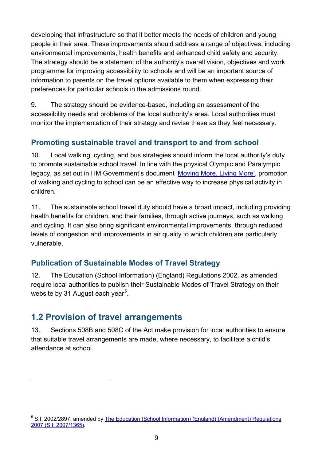developing that infrastructure so that it better meets the needs of children and young people in their area. These improvements should address a range of objectives, including environmental improvements, health benefits and enhanced child safety and security. The strategy should be a statement of the authority's overall vision, objectives and work programme for improving accessibility to schools and will be an important source of information to parents on the travel options available to them when expressing their preferences for particular schools in the admissions round.

9. The strategy should be evidence-based, including an assessment of the accessibility needs and problems of the local authority's area. Local authorities must monitor the implementation of their strategy and revise these as they feel necessary.

### <span id="page-8-0"></span>**Promoting sustainable travel and transport to and from school**

10. Local walking, cycling, and bus strategies should inform the local authority's duty to promote sustainable school travel. In line with the physical Olympic and Paralympic legacy, as set out in HM Government's document ['Moving More, Living More',](#page-21-2) promotion of walking and cycling to school can be an effective way to increase physical activity in children.

11. The sustainable school travel duty should have a broad impact, including providing health benefits for children, and their families, through active journeys, such as walking and cycling. It can also bring significant environmental improvements, through reduced levels of congestion and improvements in air quality to which children are particularly vulnerable.

### <span id="page-8-1"></span>**Publication of Sustainable Modes of Travel Strategy**

12. The Education (School Information) (England) Regulations 2002, as amended require local authorities to publish their Sustainable Modes of Travel Strategy on their website by 31 August each year<sup>[5](#page-7-2)</sup>.

# <span id="page-8-2"></span>**1.2 Provision of travel arrangements**

<span id="page-8-3"></span> $\overline{a}$ 

13. Sections 508B and 508C of the Act make provision for local authorities to ensure that suitable travel arrangements are made, where necessary, to facilitate a child's attendance at school.

<sup>&</sup>lt;sup>5</sup> S.I. 2002/2897, amended by The Education (School Information) (England) (Amendment) Regulations [2007 \(S.I. 2007/1365\).](http://www.legislation.gov.uk/uksi/2007/1365/regulation/5/made)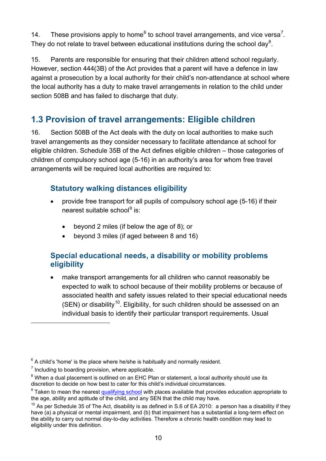14. These provisions apply to home<sup>[6](#page-8-3)</sup> to school travel arrangements, and vice versa<sup>[7](#page-9-3)</sup>. They do not relate to travel between educational institutions during the school day<sup>[8](#page-9-4)</sup>.

15. Parents are responsible for ensuring that their children attend school regularly. However, section 444(3B) of the Act provides that a parent will have a defence in law against a prosecution by a local authority for their child's non-attendance at school where the local authority has a duty to make travel arrangements in relation to the child under section 508B and has failed to discharge that duty.

# <span id="page-9-0"></span>**1.3 Provision of travel arrangements: Eligible children**

16. Section 508B of the Act deals with the duty on local authorities to make such travel arrangements as they consider necessary to facilitate attendance at school for eligible children. Schedule 35B of the Act defines eligible children – those categories of children of compulsory school age (5-16) in an authority's area for whom free travel arrangements will be required local authorities are required to:

### <span id="page-9-1"></span>**Statutory walking distances eligibility**

- provide free transport for all pupils of compulsory school age (5-16) if their nearest suitable school $9$  is:
	- beyond 2 miles (if below the age of 8); or
	- beyond 3 miles (if aged between 8 and 16)

### <span id="page-9-2"></span>**Special educational needs, a disability or mobility problems eligibility**

• make transport arrangements for all children who cannot reasonably be expected to walk to school because of their mobility problems or because of associated health and safety issues related to their special educational needs (SEN) or disability<sup>10</sup>. Eligibility, for such children should be assessed on an individual basis to identify their particular transport requirements. Usual

 $\overline{a}$ 

 $6$  A child's 'home' is the place where he/she is habitually and normally resident.

<span id="page-9-3"></span> $<sup>7</sup>$  Including to boarding provision, where applicable.</sup>

<span id="page-9-4"></span> $8$  When a dual placement is outlined on an EHC Plan or statement, a local authority should use its discretion to decide on how best to cater for this child's individual circumstances.

<span id="page-9-5"></span><sup>&</sup>lt;sup>9</sup> Taken to mean the nearest [qualifying school](#page-12-0) with places available that provides education appropriate to the age, ability and aptitude of the child, and any SEN that the child may have.

<span id="page-9-7"></span><span id="page-9-6"></span> $10$  As per Schedule 35 of The Act, disability is as defined in S.6 of EA 2010: a person has a disability if they have (a) a physical or mental impairment, and (b) that impairment has a substantial a long-term effect on the ability to carry out normal day-to-day activities. Therefore a chronic health condition may lead to eligibility under this definition.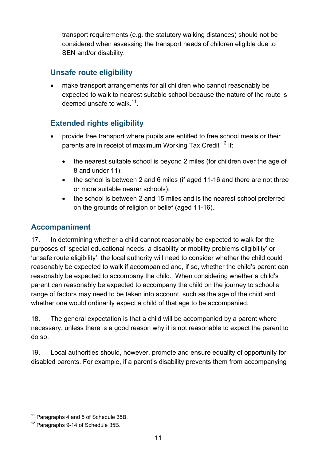transport requirements (e.g. the statutory walking distances) should not be considered when assessing the transport needs of children eligible due to SEN and/or disability.

### <span id="page-10-0"></span>**Unsafe route eligibility**

• make transport arrangements for all children who cannot reasonably be expected to walk to nearest suitable school because the nature of the route is deemed unsafe to walk  $11$ .

### <span id="page-10-1"></span>**Extended rights eligibility**

- provide free transport where pupils are entitled to free school meals or their parents are in receipt of maximum Working Tax Credit<sup>[12](#page-10-4)</sup> if:
	- the nearest suitable school is beyond 2 miles (for children over the age of 8 and under 11);
	- the school is between 2 and 6 miles (if aged 11-16 and there are not three or more suitable nearer schools);
	- the school is between 2 and 15 miles and is the nearest school preferred on the grounds of religion or belief (aged 11-16).

### <span id="page-10-2"></span>**Accompaniment**

17. In determining whether a child cannot reasonably be expected to walk for the purposes of 'special educational needs, a disability or mobility problems eligibility' or 'unsafe route eligibility', the local authority will need to consider whether the child could reasonably be expected to walk if accompanied and, if so, whether the child's parent can reasonably be expected to accompany the child. When considering whether a child's parent can reasonably be expected to accompany the child on the journey to school a range of factors may need to be taken into account, such as the age of the child and whether one would ordinarily expect a child of that age to be accompanied.

18. The general expectation is that a child will be accompanied by a parent where necessary, unless there is a good reason why it is not reasonable to expect the parent to do so.

<span id="page-10-3"></span>19. Local authorities should, however, promote and ensure equality of opportunity for disabled parents. For example, if a parent's disability prevents them from accompanying

 $\overline{a}$ 

<span id="page-10-5"></span><sup>&</sup>lt;sup>11</sup> Paragraphs 4 and 5 of Schedule 35B.

<span id="page-10-4"></span> $12$  Paragraphs 9-14 of Schedule 35B.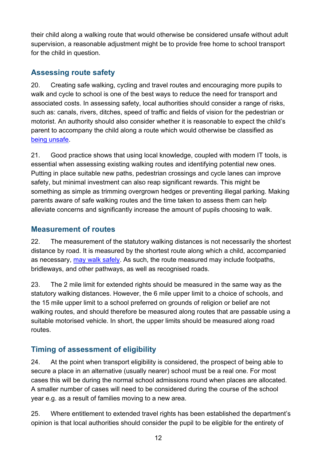their child along a walking route that would otherwise be considered unsafe without adult supervision, a reasonable adjustment might be to provide free home to school transport for the child in question.

### <span id="page-11-0"></span>**Assessing route safety**

20. Creating safe walking, cycling and travel routes and encouraging more pupils to walk and cycle to school is one of the best ways to reduce the need for transport and associated costs. In assessing safety, local authorities should consider a range of risks, such as: canals, rivers, ditches, speed of traffic and fields of vision for the pedestrian or motorist. An authority should also consider whether it is reasonable to expect the child's parent to accompany the child along a route which would otherwise be classified as [being unsafe.](#page-10-0)

21. Good practice shows that using local knowledge, coupled with modern IT tools, is essential when assessing existing walking routes and identifying potential new ones. Putting in place suitable new paths, pedestrian crossings and cycle lanes can improve safety, but minimal investment can also reap significant rewards. This might be something as simple as trimming overgrown hedges or preventing illegal parking. Making parents aware of safe walking routes and the time taken to assess them can help alleviate concerns and significantly increase the amount of pupils choosing to walk.

### <span id="page-11-1"></span>**Measurement of routes**

22. The measurement of the statutory walking distances is not necessarily the shortest distance by road. It is measured by the shortest route along which a child, accompanied as necessary, [may walk safely.](#page-10-3) As such, the route measured may include footpaths, bridleways, and other pathways, as well as recognised roads.

23. The 2 mile limit for extended rights should be measured in the same way as the statutory walking distances. However, the 6 mile upper limit to a choice of schools, and the 15 mile upper limit to a school preferred on grounds of religion or belief are not walking routes, and should therefore be measured along routes that are passable using a suitable motorised vehicle. In short, the upper limits should be measured along road routes.

### <span id="page-11-2"></span>**Timing of assessment of eligibility**

24. At the point when transport eligibility is considered, the prospect of being able to secure a place in an alternative (usually nearer) school must be a real one. For most cases this will be during the normal school admissions round when places are allocated. A smaller number of cases will need to be considered during the course of the school year e.g. as a result of families moving to a new area.

25. Where entitlement to extended travel rights has been established the department's opinion is that local authorities should consider the pupil to be eligible for the entirety of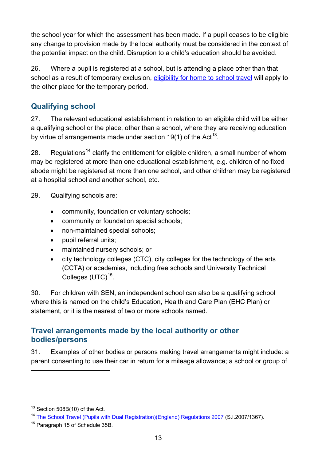the school year for which the assessment has been made. If a pupil ceases to be eligible any change to provision made by the local authority must be considered in the context of the potential impact on the child. Disruption to a child's education should be avoided.

26. Where a pupil is registered at a school, but is attending a place other than that school as a result of temporary exclusion, [eligibility for home to school travel](#page-9-0) will apply to the other place for the temporary period.

### <span id="page-12-0"></span>**Qualifying school**

27. The relevant educational establishment in relation to an eligible child will be either a qualifying school or the place, other than a school, where they are receiving education by virtue of arrangements made under section 19(1) of the Act<sup>[13](#page-10-5)</sup>.

28. Regulations<sup>[14](#page-12-2)</sup> clarify the entitlement for eligible children, a small number of whom may be registered at more than one educational establishment, e.g. children of no fixed abode might be registered at more than one school, and other children may be registered at a hospital school and another school, etc.

29. Qualifying schools are:

- community, foundation or voluntary schools;
- community or foundation special schools;
- non-maintained special schools;
- pupil referral units;
- maintained nursery schools; or
- city technology colleges (CTC), city colleges for the technology of the arts (CCTA) or academies, including free schools and University Technical Colleges  $(UTC)^{15}$  $(UTC)^{15}$  $(UTC)^{15}$ .

30. For children with SEN, an independent school can also be a qualifying school where this is named on the child's Education, Health and Care Plan (EHC Plan) or statement, or it is the nearest of two or more schools named.

### <span id="page-12-1"></span>**Travel arrangements made by the local authority or other bodies/persons**

31. Examples of other bodies or persons making travel arrangements might include: a parent consenting to use their car in return for a mileage allowance; a school or group of

 $\overline{a}$ 

<span id="page-12-2"></span><sup>14</sup> [The School Travel \(Pupils with Dual Registration\)\(England\) Regulations 2007](http://www.legislation.gov.uk/uksi/2007/1367/regulation/2/made) (S.I.2007/1367).

 $13$  Section 508B(10) of the Act.

<span id="page-12-3"></span><sup>&</sup>lt;sup>15</sup> Paragraph 15 of Schedule 35B.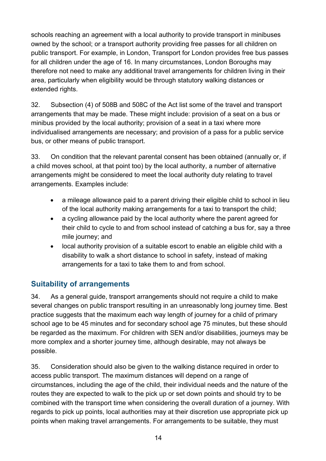schools reaching an agreement with a local authority to provide transport in minibuses owned by the school; or a transport authority providing free passes for all children on public transport. For example, in London, Transport for London provides free bus passes for all children under the age of 16. In many circumstances, London Boroughs may therefore not need to make any additional travel arrangements for children living in their area, particularly when eligibility would be through statutory walking distances or extended rights.

32. Subsection (4) of 508B and 508C of the Act list some of the travel and transport arrangements that may be made. These might include: provision of a seat on a bus or minibus provided by the local authority; provision of a seat in a taxi where more individualised arrangements are necessary; and provision of a pass for a public service bus, or other means of public transport.

33. On condition that the relevant parental consent has been obtained (annually or, if a child moves school, at that point too) by the local authority, a number of alternative arrangements might be considered to meet the local authority duty relating to travel arrangements. Examples include:

- a mileage allowance paid to a parent driving their eligible child to school in lieu of the local authority making arrangements for a taxi to transport the child;
- a cycling allowance paid by the local authority where the parent agreed for their child to cycle to and from school instead of catching a bus for, say a three mile journey; and
- local authority provision of a suitable escort to enable an eligible child with a disability to walk a short distance to school in safety, instead of making arrangements for a taxi to take them to and from school.

### <span id="page-13-0"></span>**Suitability of arrangements**

34. As a general guide, transport arrangements should not require a child to make several changes on public transport resulting in an unreasonably long journey time. Best practice suggests that the maximum each way length of journey for a child of primary school age to be 45 minutes and for secondary school age 75 minutes, but these should be regarded as the maximum. For children with SEN and/or disabilities, journeys may be more complex and a shorter journey time, although desirable, may not always be possible.

35. Consideration should also be given to the walking distance required in order to access public transport. The maximum distances will depend on a range of circumstances, including the age of the child, their individual needs and the nature of the routes they are expected to walk to the pick up or set down points and should try to be combined with the transport time when considering the overall duration of a journey. With regards to pick up points, local authorities may at their discretion use appropriate pick up points when making travel arrangements. For arrangements to be suitable, they must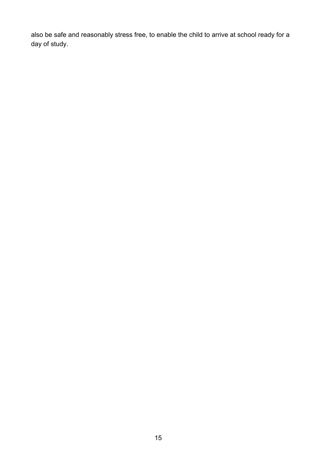also be safe and reasonably stress free, to enable the child to arrive at school ready for a day of study.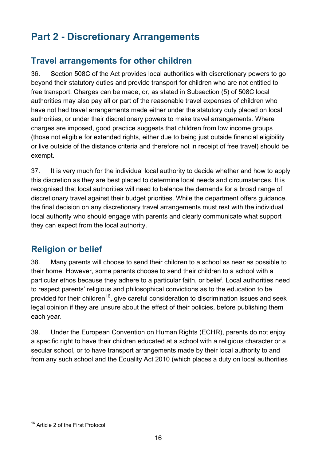# <span id="page-15-0"></span>**Part 2 - Discretionary Arrangements**

# <span id="page-15-1"></span>**Travel arrangements for other children**

36. Section 508C of the Act provides local authorities with discretionary powers to go beyond their statutory duties and provide transport for children who are not entitled to free transport. Charges can be made, or, as stated in Subsection (5) of 508C local authorities may also pay all or part of the reasonable travel expenses of children who have not had travel arrangements made either under the statutory duty placed on local authorities, or under their discretionary powers to make travel arrangements. Where charges are imposed, good practice suggests that children from low income groups (those not eligible for extended rights, either due to being just outside financial eligibility or live outside of the distance criteria and therefore not in receipt of free travel) should be exempt.

37. It is very much for the individual local authority to decide whether and how to apply this discretion as they are best placed to determine local needs and circumstances. It is recognised that local authorities will need to balance the demands for a broad range of discretionary travel against their budget priorities. While the department offers guidance, the final decision on any discretionary travel arrangements must rest with the individual local authority who should engage with parents and clearly communicate what support they can expect from the local authority.

# <span id="page-15-2"></span>**Religion or belief**

38. Many parents will choose to send their children to a school as near as possible to their home. However, some parents choose to send their children to a school with a particular ethos because they adhere to a particular faith, or belief. Local authorities need to respect parents' religious and philosophical convictions as to the education to be provided for their children<sup>16</sup>, give careful consideration to discrimination issues and seek legal opinion if they are unsure about the effect of their policies, before publishing them each year.

39. Under the European Convention on Human Rights (ECHR), parents do not enjoy a specific right to have their children educated at a school with a religious character or a secular school, or to have transport arrangements made by their local authority to and from any such school and the Equality Act 2010 (which places a duty on local authorities

 $\overline{a}$ 

<span id="page-15-3"></span><sup>&</sup>lt;sup>16</sup> Article 2 of the First Protocol.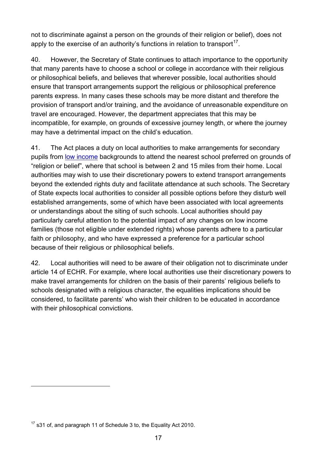not to discriminate against a person on the grounds of their religion or belief), does not apply to the exercise of an authority's functions in relation to transport<sup>[17](#page-15-3)</sup>.

40. However, the Secretary of State continues to attach importance to the opportunity that many parents have to choose a school or college in accordance with their religious or philosophical beliefs, and believes that wherever possible, local authorities should ensure that transport arrangements support the religious or philosophical preference parents express. In many cases these schools may be more distant and therefore the provision of transport and/or training, and the avoidance of unreasonable expenditure on travel are encouraged. However, the department appreciates that this may be incompatible, for example, on grounds of excessive journey length, or where the journey may have a detrimental impact on the child's education.

41. The Act places a duty on local authorities to make arrangements for secondary pupils from [low income](#page-10-1) backgrounds to attend the nearest school preferred on grounds of "religion or belief", where that school is between 2 and 15 miles from their home. Local authorities may wish to use their discretionary powers to extend transport arrangements beyond the extended rights duty and facilitate attendance at such schools. The Secretary of State expects local authorities to consider all possible options before they disturb well established arrangements, some of which have been associated with local agreements or understandings about the siting of such schools. Local authorities should pay particularly careful attention to the potential impact of any changes on low income families (those not eligible under extended rights) whose parents adhere to a particular faith or philosophy, and who have expressed a preference for a particular school because of their religious or philosophical beliefs.

42. Local authorities will need to be aware of their obligation not to discriminate under article 14 of ECHR. For example, where local authorities use their discretionary powers to make travel arrangements for children on the basis of their parents' religious beliefs to schools designated with a religious character, the equalities implications should be considered, to facilitate parents' who wish their children to be educated in accordance with their philosophical convictions.

 $\overline{a}$ 

<span id="page-16-0"></span> $17$  s31 of, and paragraph 11 of Schedule 3 to, the Equality Act 2010.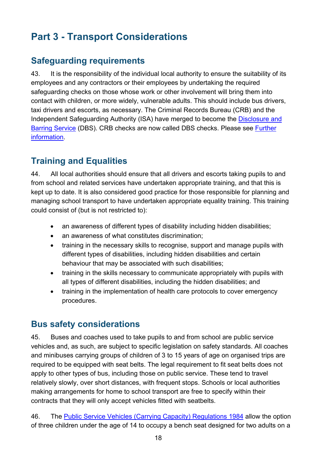# <span id="page-17-0"></span>**Part 3 - Transport Considerations**

# <span id="page-17-1"></span>**Safeguarding requirements**

43. It is the responsibility of the individual local authority to ensure the suitability of its employees and any contractors or their employees by undertaking the required safeguarding checks on those whose work or other involvement will bring them into contact with children, or more widely, vulnerable adults. This should include bus drivers, taxi drivers and escorts, as necessary. The Criminal Records Bureau (CRB) and the Independent Safeguarding Authority (ISA) have merged to become the [Disclosure and](https://www.gov.uk/disclosure-barring-service-check)  [Barring Service](https://www.gov.uk/disclosure-barring-service-check) (DBS). CRB checks are now called DBS checks. Please see [Further](#page-21-0)  [information.](#page-21-0)

# <span id="page-17-2"></span>**Training and Equalities**

44. All local authorities should ensure that all drivers and escorts taking pupils to and from school and related services have undertaken appropriate training, and that this is kept up to date. It is also considered good practice for those responsible for planning and managing school transport to have undertaken appropriate equality training. This training could consist of (but is not restricted to):

- an awareness of different types of disability including hidden disabilities;
- an awareness of what constitutes discrimination;
- training in the necessary skills to recognise, support and manage pupils with different types of disabilities, including hidden disabilities and certain behaviour that may be associated with such disabilities;
- training in the skills necessary to communicate appropriately with pupils with all types of different disabilities, including the hidden disabilities; and
- training in the implementation of health care protocols to cover emergency procedures.

# <span id="page-17-3"></span>**Bus safety considerations**

45. Buses and coaches used to take pupils to and from school are public service vehicles and, as such, are subject to specific legislation on safety standards. All coaches and minibuses carrying groups of children of 3 to 15 years of age on organised trips are required to be equipped with seat belts. The legal requirement to fit seat belts does not apply to other types of bus, including those on public service. These tend to travel relatively slowly, over short distances, with frequent stops. Schools or local authorities making arrangements for home to school transport are free to specify within their contracts that they will only accept vehicles fitted with seatbelts.

46. The [Public Service Vehicles \(Carrying Capacity\) Regulations 1984](http://www.legislation.gov.uk/uksi/1996/167/made) allow the option of three children under the age of 14 to occupy a bench seat designed for two adults on a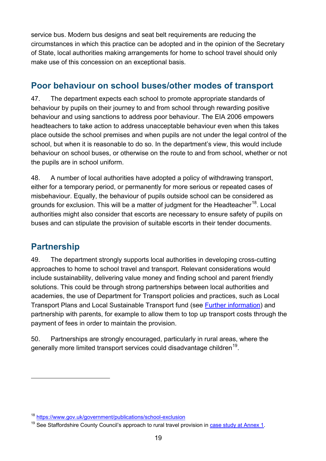service bus. Modern bus designs and seat belt requirements are reducing the circumstances in which this practice can be adopted and in the opinion of the Secretary of State, local authorities making arrangements for home to school travel should only make use of this concession on an exceptional basis.

### <span id="page-18-0"></span>**Poor behaviour on school buses/other modes of transport**

47. The department expects each school to promote appropriate standards of behaviour by pupils on their journey to and from school through rewarding positive behaviour and using sanctions to address poor behaviour. The EIA 2006 empowers headteachers to take action to address unacceptable behaviour even when this takes place outside the school premises and when pupils are not under the legal control of the school, but when it is reasonable to do so. In the department's view, this would include behaviour on school buses, or otherwise on the route to and from school, whether or not the pupils are in school uniform.

48. A number of local authorities have adopted a policy of withdrawing transport, either for a temporary period, or permanently for more serious or repeated cases of misbehaviour. Equally, the behaviour of pupils outside school can be considered as grounds for exclusion. This will be a matter of judgment for the Headteacher<sup>18</sup>. Local authorities might also consider that escorts are necessary to ensure safety of pupils on buses and can stipulate the provision of suitable escorts in their tender documents.

# <span id="page-18-1"></span>**Partnership**

 $\overline{a}$ 

49. The department strongly supports local authorities in developing cross-cutting approaches to home to school travel and transport. Relevant considerations would include sustainability, delivering value money and finding school and parent friendly solutions. This could be through strong partnerships between local authorities and academies, the use of Department for Transport policies and practices, such as Local Transport Plans and Local Sustainable Transport fund (see [Further information\)](#page-21-0) and partnership with parents, for example to allow them to top up transport costs through the payment of fees in order to maintain the provision.

50. Partnerships are strongly encouraged, particularly in rural areas, where the generally more limited transport services could disadvantage children<sup>19</sup>.

<span id="page-18-3"></span><sup>18</sup> <https://www.gov.uk/government/publications/school-exclusion>

<span id="page-18-2"></span> $19$  See Staffordshire County Council's approach to rural travel provision in case study at Annex 1.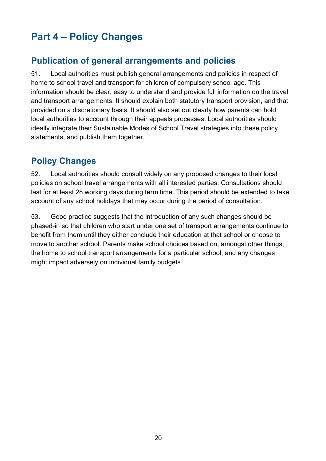# <span id="page-19-0"></span>**Part 4 – Policy Changes**

# <span id="page-19-1"></span>**Publication of general arrangements and policies**

51. Local authorities must publish general arrangements and policies in respect of home to school travel and transport for children of compulsory school age. This information should be clear, easy to understand and provide full information on the travel and transport arrangements. It should explain both statutory transport provision, and that provided on a discretionary basis. It should also set out clearly how parents can hold local authorities to account through their appeals processes. Local authorities should ideally integrate their Sustainable Modes of School Travel strategies into these policy statements, and publish them together.

# <span id="page-19-2"></span>**Policy Changes**

52. Local authorities should consult widely on any proposed changes to their local policies on school travel arrangements with all interested parties. Consultations should last for at least 28 working days during term time. This period should be extended to take account of any school holidays that may occur during the period of consultation.

53. Good practice suggests that the introduction of any such changes should be phased-in so that children who start under one set of transport arrangements continue to benefit from them until they either conclude their education at that school or choose to move to another school. Parents make school choices based on, amongst other things, the home to school transport arrangements for a particular school, and any changes might impact adversely on individual family budgets.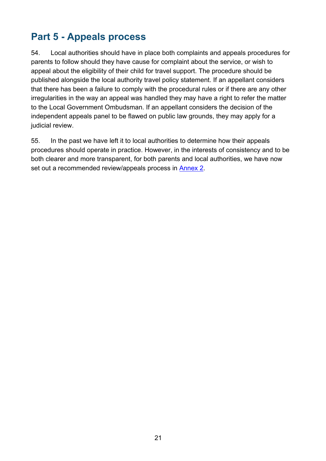# <span id="page-20-0"></span>**Part 5 - Appeals process**

54. Local authorities should have in place both complaints and appeals procedures for parents to follow should they have cause for complaint about the service, or wish to appeal about the eligibility of their child for travel support. The procedure should be published alongside the local authority travel policy statement. If an appellant considers that there has been a failure to comply with the procedural rules or if there are any other irregularities in the way an appeal was handled they may have a right to refer the matter to the Local Government Ombudsman. If an appellant considers the decision of the independent appeals panel to be flawed on public law grounds, they may apply for a judicial review.

55. In the past we have left it to local authorities to determine how their appeals procedures should operate in practice. However, in the interests of consistency and to be both clearer and more transparent, for both parents and local authorities, we have now set out a recommended review/appeals process in **Annex 2**.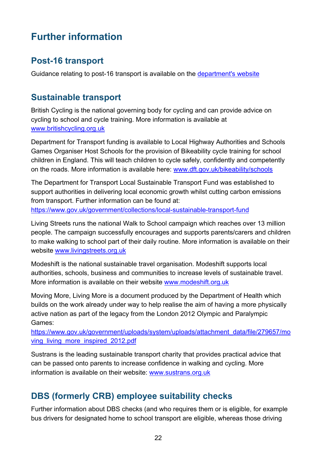# <span id="page-21-0"></span>**Further information**

# <span id="page-21-1"></span>**Post-16 transport**

Guidance relating to post-16 transport is available on the [department's website](https://www.gov.uk/government/publications/post-16-transport-to-education-and-training)

# <span id="page-21-2"></span>**Sustainable transport**

British Cycling is the national governing body for cycling and can provide advice on cycling to school and cycle training. More information is available at [www.britishcycling.org.uk](http://www.britishcycling.org.uk/)

Department for Transport funding is available to Local Highway Authorities and Schools Games Organiser Host Schools for the provision of Bikeability cycle training for school children in England. This will teach children to cycle safely, confidently and competently on the roads. More information is available here: [www.dft.gov.uk/bikeability/schools](http://www.dft.gov.uk/bikeability/schools)

The Department for Transport Local Sustainable Transport Fund was established to support authorities in delivering local economic growth whilst cutting carbon emissions from transport. Further information can be found at: <https://www.gov.uk/government/collections/local-sustainable-transport-fund>

Living Streets runs the national Walk to School campaign which reaches over 13 million people. The campaign successfully encourages and supports parents/carers and children to make walking to school part of their daily routine. More information is available on their website [www.livingstreets.org.uk](http://www.livingstreets.org.uk/)

Modeshift is the national sustainable travel organisation. Modeshift supports local authorities, schools, business and communities to increase levels of sustainable travel. More information is available on their website [www.modeshift.org.uk](http://www.modeshift.org.uk/)

Moving More, Living More is a document produced by the Department of Health which builds on the work already under way to help realise the aim of having a more physically active nation as part of the legacy from the London 2012 Olympic and Paralympic Games:

[https://www.gov.uk/government/uploads/system/uploads/attachment\\_data/file/279657/mo](https://www.gov.uk/government/uploads/system/uploads/attachment_data/file/279657/moving_living_more_inspired_2012.pdf) [ving\\_living\\_more\\_inspired\\_2012.pdf](https://www.gov.uk/government/uploads/system/uploads/attachment_data/file/279657/moving_living_more_inspired_2012.pdf)

Sustrans is the leading sustainable transport charity that provides practical advice that can be passed onto parents to increase confidence in walking and cycling. More information is available on their website: [www.sustrans.org.uk](http://www.sustrans.org.uk/)

# <span id="page-21-3"></span>**DBS (formerly CRB) employee suitability checks**

Further information about DBS checks (and who requires them or is eligible, for example bus drivers for designated home to school transport are eligible, whereas those driving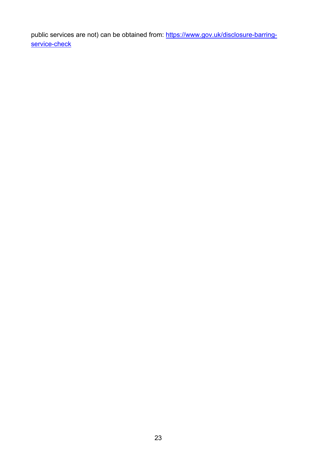public services are not) can be obtained from: [https://www.gov.uk/disclosure-barring](https://www.gov.uk/disclosure-barring-service-check)[service-check](https://www.gov.uk/disclosure-barring-service-check)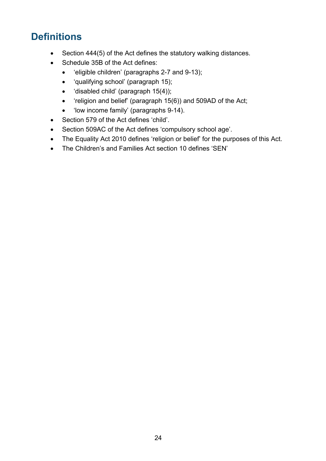# <span id="page-23-0"></span>**Definitions**

- Section 444(5) of the Act defines the statutory walking distances.
- Schedule 35B of the Act defines:
	- 'eligible children' (paragraphs 2-7 and 9-13);
	- 'qualifying school' (paragraph 15);
	- 'disabled child' (paragraph 15(4));
	- 'religion and belief' (paragraph 15(6)) and 509AD of the Act;
	- 'low income family' (paragraphs 9-14).
- Section 579 of the Act defines 'child'.
- Section 509AC of the Act defines 'compulsory school age'.
- The Equality Act 2010 defines 'religion or belief' for the purposes of this Act.
- The Children's and Families Act section 10 defines 'SEN'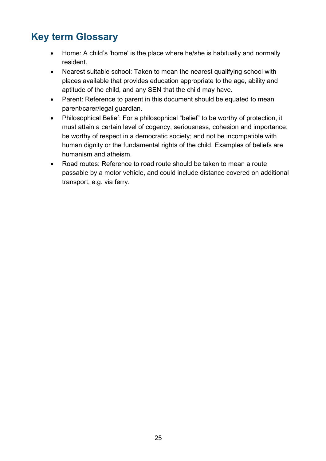# <span id="page-24-0"></span>**Key term Glossary**

- Home: A child's 'home' is the place where he/she is habitually and normally resident.
- Nearest suitable school: Taken to mean the nearest qualifying school with places available that provides education appropriate to the age, ability and aptitude of the child, and any SEN that the child may have.
- Parent: Reference to parent in this document should be equated to mean parent/carer/legal guardian.
- Philosophical Belief: For a philosophical "belief" to be worthy of protection, it must attain a certain level of cogency, seriousness, cohesion and importance; be worthy of respect in a democratic society; and not be incompatible with human dignity or the fundamental rights of the child. Examples of beliefs are humanism and atheism.
- Road routes: Reference to road route should be taken to mean a route passable by a motor vehicle, and could include distance covered on additional transport, e.g. via ferry.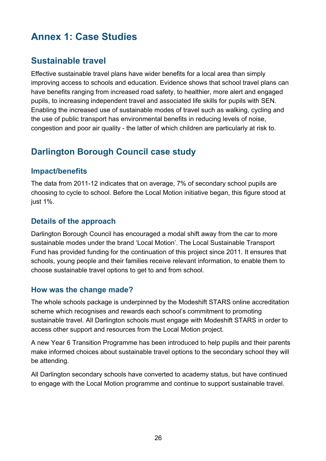# <span id="page-25-0"></span>**Annex 1: Case Studies**

# <span id="page-25-1"></span>**Sustainable travel**

Effective sustainable travel plans have wider benefits for a local area than simply improving access to schools and education. Evidence shows that school travel plans can have benefits ranging from increased road safety, to healthier, more alert and engaged pupils, to increasing independent travel and associated life skills for pupils with SEN. Enabling the increased use of sustainable modes of travel such as walking, cycling and the use of public transport has environmental benefits in reducing levels of noise, congestion and poor air quality - the latter of which children are particularly at risk to.

# <span id="page-25-2"></span>**Darlington Borough Council case study**

### <span id="page-25-3"></span>**Impact/benefits**

The data from 2011-12 indicates that on average, 7% of secondary school pupils are choosing to cycle to school. Before the Local Motion initiative began, this figure stood at just 1%.

### <span id="page-25-4"></span>**Details of the approach**

Darlington Borough Council has encouraged a modal shift away from the car to more sustainable modes under the brand 'Local Motion'. The Local Sustainable Transport Fund has provided funding for the continuation of this project since 2011. It ensures that schools, young people and their families receive relevant information, to enable them to choose sustainable travel options to get to and from school.

### <span id="page-25-5"></span>**How was the change made?**

The whole schools package is underpinned by the Modeshift STARS online accreditation scheme which recognises and rewards each school's commitment to promoting sustainable travel. All Darlington schools must engage with Modeshift STARS in order to access other support and resources from the Local Motion project.

A new Year 6 Transition Programme has been introduced to help pupils and their parents make informed choices about sustainable travel options to the secondary school they will be attending.

All Darlington secondary schools have converted to academy status, but have continued to engage with the Local Motion programme and continue to support sustainable travel.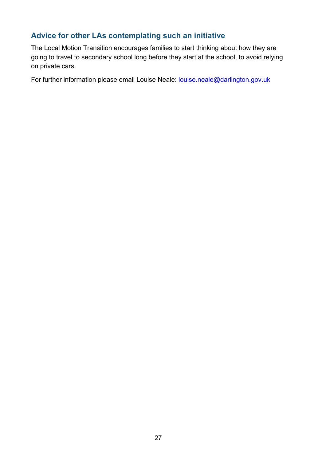### <span id="page-26-0"></span>**Advice for other LAs contemplating such an initiative**

The Local Motion Transition encourages families to start thinking about how they are going to travel to secondary school long before they start at the school, to avoid relying on private cars.

For further information please email Louise Neale: [louise.neale@darlington.gov.uk](mailto:louise.neale@darlington.gov.uk)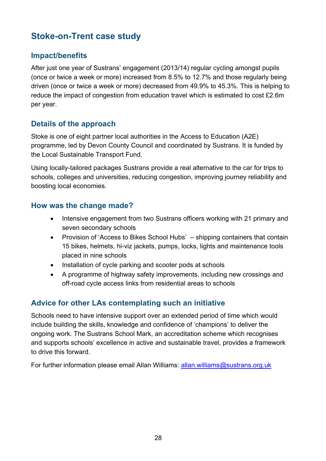# <span id="page-27-0"></span>**Stoke-on-Trent case study**

### <span id="page-27-1"></span>**Impact/benefits**

After just one year of Sustrans' engagement (2013/14) regular cycling amongst pupils (once or twice a week or more) increased from 8.5% to 12.7% and those regularly being driven (once or twice a week or more) decreased from 49.9% to 45.3%. This is helping to reduce the impact of congestion from education travel which is estimated to cost £2.6m per year.

### <span id="page-27-2"></span>**Details of the approach**

Stoke is one of eight partner local authorities in the Access to Education (A2E) programme, led by Devon County Council and coordinated by Sustrans. It is funded by the Local Sustainable Transport Fund.

Using locally-tailored packages Sustrans provide a real alternative to the car for trips to schools, colleges and universities, reducing congestion, improving journey reliability and boosting local economies.

### <span id="page-27-3"></span>**How was the change made?**

- Intensive engagement from two Sustrans officers working with 21 primary and seven secondary schools
- Provision of 'Access to Bikes School Hubs' shipping containers that contain 15 bikes, helmets, hi-viz jackets, pumps, locks, lights and maintenance tools placed in nine schools
- Installation of cycle parking and scooter pods at schools
- A programme of highway safety improvements, including new crossings and off-road cycle access links from residential areas to schools

### <span id="page-27-4"></span>**Advice for other LAs contemplating such an initiative**

Schools need to have intensive support over an extended period of time which would include building the skills, knowledge and confidence of 'champions' to deliver the ongoing work. The Sustrans School Mark, an accreditation scheme which recognises and supports schools' excellence in active and sustainable travel, provides a framework to drive this forward.

For further information please email Allan Williams: [allan.williams@sustrans.org.uk](mailto:allan.williams@sustrans.org.uk)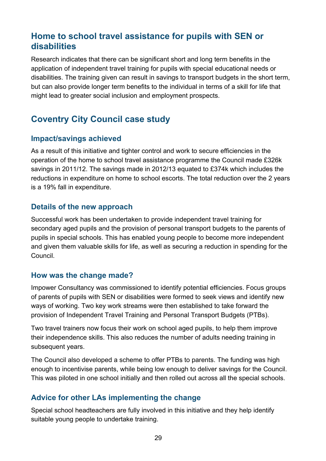# <span id="page-28-0"></span>**Home to school travel assistance for pupils with SEN or disabilities**

Research indicates that there can be significant short and long term benefits in the application of independent travel training for pupils with special educational needs or disabilities. The training given can result in savings to transport budgets in the short term, but can also provide longer term benefits to the individual in terms of a skill for life that might lead to greater social inclusion and employment prospects.

### <span id="page-28-1"></span>**Coventry City Council case study**

#### <span id="page-28-2"></span>**Impact/savings achieved**

As a result of this initiative and tighter control and work to secure efficiencies in the operation of the home to school travel assistance programme the Council made £326k savings in 2011/12. The savings made in 2012/13 equated to £374k which includes the reductions in expenditure on home to school escorts. The total reduction over the 2 years is a 19% fall in expenditure.

### <span id="page-28-3"></span>**Details of the new approach**

Successful work has been undertaken to provide independent travel training for secondary aged pupils and the provision of personal transport budgets to the parents of pupils in special schools. This has enabled young people to become more independent and given them valuable skills for life, as well as securing a reduction in spending for the Council.

### <span id="page-28-4"></span>**How was the change made?**

Impower Consultancy was commissioned to identify potential efficiencies. Focus groups of parents of pupils with SEN or disabilities were formed to seek views and identify new ways of working. Two key work streams were then established to take forward the provision of Independent Travel Training and Personal Transport Budgets (PTBs).

Two travel trainers now focus their work on school aged pupils, to help them improve their independence skills. This also reduces the number of adults needing training in subsequent years.

The Council also developed a scheme to offer PTBs to parents. The funding was high enough to incentivise parents, while being low enough to deliver savings for the Council. This was piloted in one school initially and then rolled out across all the special schools.

### <span id="page-28-5"></span>**Advice for other LAs implementing the change**

Special school headteachers are fully involved in this initiative and they help identify suitable young people to undertake training.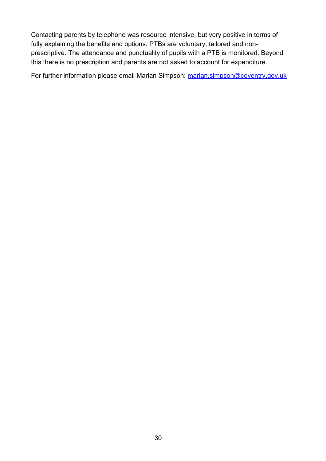Contacting parents by telephone was resource intensive, but very positive in terms of fully explaining the benefits and options. PTBs are voluntary, tailored and nonprescriptive. The attendance and punctuality of pupils with a PTB is monitored. Beyond this there is no prescription and parents are not asked to account for expenditure.

For further information please email Marian Simpson: [marian.simpson@coventry.gov.uk](mailto:marian.simpson@coventry.gov.uk)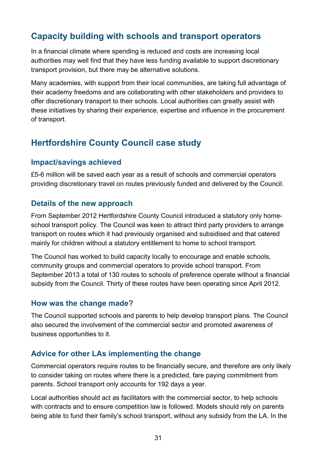# <span id="page-30-0"></span>**Capacity building with schools and transport operators**

In a financial climate where spending is reduced and costs are increasing local authorities may well find that they have less funding available to support discretionary transport provision, but there may be alternative solutions.

Many academies, with support from their local communities, are taking full advantage of their academy freedoms and are collaborating with other stakeholders and providers to offer discretionary transport to their schools. Local authorities can greatly assist with these initiatives by sharing their experience, expertise and influence in the procurement of transport.

# <span id="page-30-1"></span>**Hertfordshire County Council case study**

### <span id="page-30-2"></span>**Impact/savings achieved**

£5-6 million will be saved each year as a result of schools and commercial operators providing discretionary travel on routes previously funded and delivered by the Council.

### <span id="page-30-3"></span>**Details of the new approach**

From September 2012 Hertfordshire County Council introduced a statutory only homeschool transport policy. The Council was keen to attract third party providers to arrange transport on routes which it had previously organised and subsidised and that catered mainly for children without a statutory entitlement to home to school transport.

The Council has worked to build capacity locally to encourage and enable schools, community groups and commercial operators to provide school transport. From September 2013 a total of 130 routes to schools of preference operate without a financial subsidy from the Council. Thirty of these routes have been operating since April 2012.

### <span id="page-30-4"></span>**How was the change made?**

The Council supported schools and parents to help develop transport plans. The Council also secured the involvement of the commercial sector and promoted awareness of business opportunities to it.

### <span id="page-30-5"></span>**Advice for other LAs implementing the change**

Commercial operators require routes to be financially secure, and therefore are only likely to consider taking on routes where there is a predicted, fare paying commitment from parents. School transport only accounts for 192 days a year.

Local authorities should act as facilitators with the commercial sector, to help schools with contracts and to ensure competition law is followed. Models should rely on parents being able to fund their family's school transport, without any subsidy from the LA. In the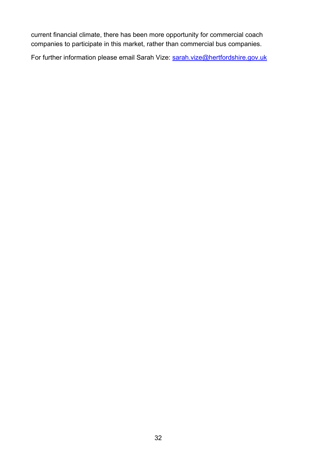current financial climate, there has been more opportunity for commercial coach companies to participate in this market, rather than commercial bus companies.

For further information please email Sarah Vize: [sarah.vize@hertfordshire.gov.uk](mailto:sarah.vize@hertfordshire.gov.uk)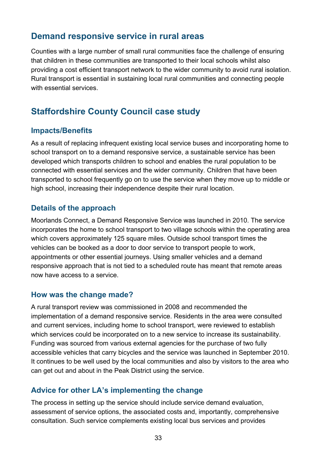### <span id="page-32-0"></span>**Demand responsive service in rural areas**

Counties with a large number of small rural communities face the challenge of ensuring that children in these communities are transported to their local schools whilst also providing a cost efficient transport network to the wider community to avoid rural isolation. Rural transport is essential in sustaining local rural communities and connecting people with essential services

### <span id="page-32-1"></span>**Staffordshire County Council case study**

#### <span id="page-32-2"></span>**Impacts/Benefits**

As a result of replacing infrequent existing local service buses and incorporating home to school transport on to a demand responsive service, a sustainable service has been developed which transports children to school and enables the rural population to be connected with essential services and the wider community. Children that have been transported to school frequently go on to use the service when they move up to middle or high school, increasing their independence despite their rural location.

### <span id="page-32-3"></span>**Details of the approach**

Moorlands Connect, a Demand Responsive Service was launched in 2010. The service incorporates the home to school transport to two village schools within the operating area which covers approximately 125 square miles. Outside school transport times the vehicles can be booked as a door to door service to transport people to work, appointments or other essential journeys. Using smaller vehicles and a demand responsive approach that is not tied to a scheduled route has meant that remote areas now have access to a service.

#### <span id="page-32-4"></span>**How was the change made?**

A rural transport review was commissioned in 2008 and recommended the implementation of a demand responsive service. Residents in the area were consulted and current services, including home to school transport, were reviewed to establish which services could be incorporated on to a new service to increase its sustainability. Funding was sourced from various external agencies for the purchase of two fully accessible vehicles that carry bicycles and the service was launched in September 2010. It continues to be well used by the local communities and also by visitors to the area who can get out and about in the Peak District using the service.

### <span id="page-32-5"></span>**Advice for other LA's implementing the change**

The process in setting up the service should include service demand evaluation, assessment of service options, the associated costs and, importantly, comprehensive consultation. Such service complements existing local bus services and provides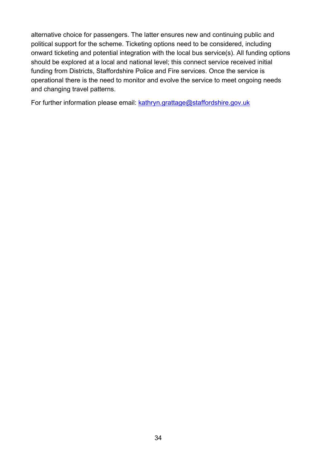alternative choice for passengers. The latter ensures new and continuing public and political support for the scheme. Ticketing options need to be considered, including onward ticketing and potential integration with the local bus service(s). All funding options should be explored at a local and national level; this connect service received initial funding from Districts, Staffordshire Police and Fire services. Once the service is operational there is the need to monitor and evolve the service to meet ongoing needs and changing travel patterns.

For further information please email: [kathryn.grattage@staffordshire.gov.uk](mailto:kathryn.grattage@staffordshire.gov.uk)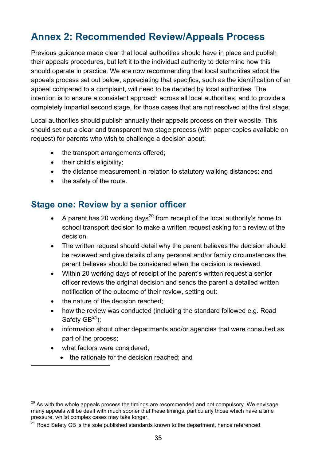# <span id="page-34-0"></span>**Annex 2: Recommended Review/Appeals Process**

Previous guidance made clear that local authorities should have in place and publish their appeals procedures, but left it to the individual authority to determine how this should operate in practice. We are now recommending that local authorities adopt the appeals process set out below, appreciating that specifics, such as the identification of an appeal compared to a complaint, will need to be decided by local authorities. The intention is to ensure a consistent approach across all local authorities, and to provide a completely impartial second stage, for those cases that are not resolved at the first stage.

Local authorities should publish annually their appeals process on their website. This should set out a clear and transparent two stage process (with paper copies available on request) for parents who wish to challenge a decision about:

- the transport arrangements offered;
- their child's eligibility;
- the distance measurement in relation to statutory walking distances; and
- the safety of the route.

### <span id="page-34-1"></span>**Stage one: Review by a senior officer**

- A parent has [20](#page-18-3) working days<sup>20</sup> from receipt of the local authority's home to school transport decision to make a written request asking for a review of the decision.
- The written request should detail why the parent believes the decision should be reviewed and give details of any personal and/or family circumstances the parent believes should be considered when the decision is reviewed.
- Within 20 working days of receipt of the parent's written request a senior officer reviews the original decision and sends the parent a detailed written notification of the outcome of their review, setting out:
- the nature of the decision reached;
- how the review was conducted (including the standard followed e.g. Road Safety  $GB<sup>21</sup>$  $GB<sup>21</sup>$  $GB<sup>21</sup>$ ):
- information about other departments and/or agencies that were consulted as part of the process;
- what factors were considered;

 $\overline{a}$ 

• the rationale for the decision reached; and

 $20$  As with the whole appeals process the timings are recommended and not compulsory. We envisage many appeals will be dealt with much sooner that these timings, particularly those which have a time pressure, whilst complex cases may take longer.

<span id="page-34-2"></span> $21$  Road Safety GB is the sole published standards known to the department, hence referenced.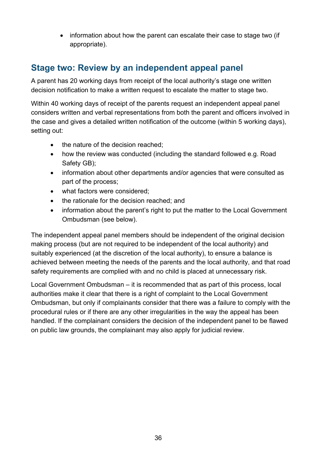• information about how the parent can escalate their case to stage two (if appropriate).

# <span id="page-35-0"></span>**Stage two: Review by an independent appeal panel**

A parent has 20 working days from receipt of the local authority's stage one written decision notification to make a written request to escalate the matter to stage two.

Within 40 working days of receipt of the parents request an independent appeal panel considers written and verbal representations from both the parent and officers involved in the case and gives a detailed written notification of the outcome (within 5 working days), setting out:

- the nature of the decision reached;
- how the review was conducted (including the standard followed e.g. Road Safety GB);
- information about other departments and/or agencies that were consulted as part of the process;
- what factors were considered;
- the rationale for the decision reached; and
- information about the parent's right to put the matter to the Local Government Ombudsman (see below).

The independent appeal panel members should be independent of the original decision making process (but are not required to be independent of the local authority) and suitably experienced (at the discretion of the local authority), to ensure a balance is achieved between meeting the needs of the parents and the local authority, and that road safety requirements are complied with and no child is placed at unnecessary risk.

Local Government Ombudsman – it is recommended that as part of this process, local authorities make it clear that there is a right of complaint to the Local Government Ombudsman, but only if complainants consider that there was a failure to comply with the procedural rules or if there are any other irregularities in the way the appeal has been handled. If the complainant considers the decision of the independent panel to be flawed on public law grounds, the complainant may also apply for judicial review.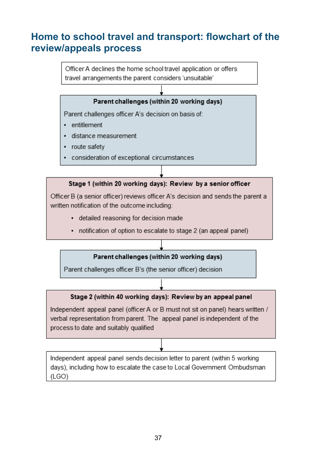# <span id="page-36-0"></span>**Home to school travel and transport: flowchart of the review/appeals process**

Officer A declines the home school travel application or offers travel arrangements the parent considers 'unsuitable'

#### Parent challenges (within 20 working days)

Parent challenges officer A's decision on basis of:

- entitlement
- · distance measurement
- route safety
- consideration of exceptional circumstances

#### Stage 1 (within 20 working days): Review by a senior officer

Officer B (a senior officer) reviews officer A's decision and sends the parent a written notification of the outcome including:

- detailed reasoning for decision made
- notification of option to escalate to stage 2 (an appeal panel)

#### Parent challenges (within 20 working days)

Parent challenges officer B's (the senior officer) decision

#### Stage 2 (within 40 working days): Review by an appeal panel

Independent appeal panel (officer A or B must not sit on panel) hears written / verbal representation from parent. The appeal panel is independent of the process to date and suitably qualified

Independent appeal panel sends decision letter to parent (within 5 working days), including how to escalate the case to Local Government Ombudsman  $(LOGO)$